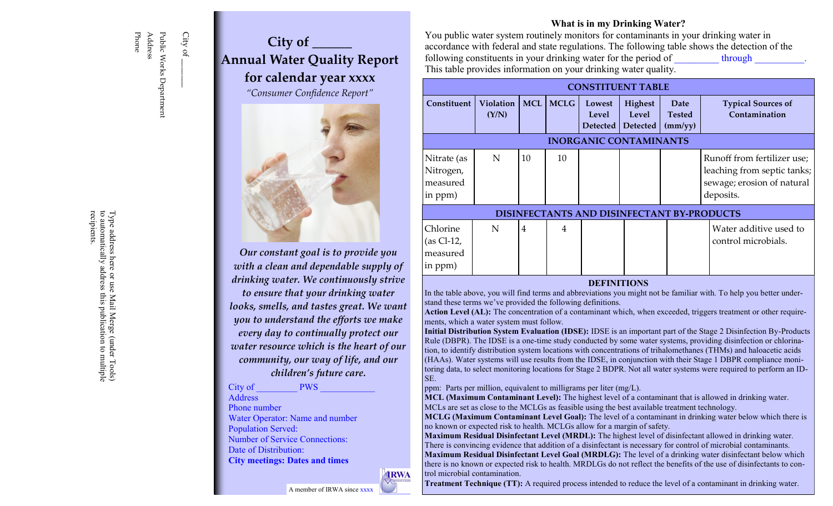## Address Phone Public Works Department Public Works Department

City of  $C$ ity of  $\_\_$ 

### **City of \_\_\_\_\_\_ Annual Water Quality Report for calendar year xxxx**

*"Consumer Confidence Report"*



*Our constant goal is to provide you with a clean and dependable supply of drinking water. We continuously strive to ensure that your drinking water looks, smells, and tastes great. We want you to understand the efforts we make every day to continually protect our water resource which is the heart of our community, our way of life, and our children's future care.*

#### City of **PWS**

**Address** 

Phone number Water Operator: Name and number

Population Served: Number of Service Connections: Date of Distribution:

**City meetings: Dates and times**

A member of IRWA since xxxx



#### **What is in my Drinking Water?**

You public water system routinely monitors for contaminants in your drinking water in accordance with federal and state regulations. The following table shows the detection of the following constituents in your drinking water for the period of through This table provides information on your drinking water quality.

| <b>CONSTITUENT TABLE</b>                          |                           |                |             |                             |                                     |                                         |                                                                                                       |
|---------------------------------------------------|---------------------------|----------------|-------------|-----------------------------|-------------------------------------|-----------------------------------------|-------------------------------------------------------------------------------------------------------|
| Constituent                                       | <b>Violation</b><br>(Y/N) | MCL            | <b>MCLG</b> | Lowest<br>Level<br>Detected | Highest<br>Level<br><b>Detected</b> | <b>Date</b><br><b>Tested</b><br>(mm/yy) | <b>Typical Sources of</b><br>Contamination                                                            |
| <b>INORGANIC CONTAMINANTS</b>                     |                           |                |             |                             |                                     |                                         |                                                                                                       |
| Nitrate (as<br>Nitrogen,<br>measured<br>in ppm)   | N                         | 10             | 10          |                             |                                     |                                         | Runoff from fertilizer use;<br>leaching from septic tanks;<br>sewage; erosion of natural<br>deposits. |
| <b>DISINFECTANTS AND DISINFECTANT BY-PRODUCTS</b> |                           |                |             |                             |                                     |                                         |                                                                                                       |
| Chlorine<br>$(as Cl-12,$<br>measured<br>in ppm)   | N                         | $\overline{4}$ | 4           |                             |                                     |                                         | Water additive used to<br>control microbials.                                                         |

#### **DEFINITIONS**

In the table above, you will find terms and abbreviations you might not be familiar with. To help you better understand these terms we've provided the following definitions.

**Action Level (AL):** The concentration of a contaminant which, when exceeded, triggers treatment or other requirements, which a water system must follow.

**Initial Distribution System Evaluation (IDSE):** IDSE is an important part of the Stage 2 Disinfection By-Products Rule (DBPR). The IDSE is a one-time study conducted by some water systems, providing disinfection or chlorination, to identify distribution system locations with concentrations of trihalomethanes (THMs) and haloacetic acids (HAAs). Water systems will use results from the IDSE, in conjunction with their Stage 1 DBPR compliance monitoring data, to select monitoring locations for Stage 2 BDPR. Not all water systems were required to perform an ID-SE.

ppm: Parts per million, equivalent to milligrams per liter (mg/L).

**MCL (Maximum Contaminant Level):** The highest level of a contaminant that is allowed in drinking water. MCLs are set as close to the MCLGs as feasible using the best available treatment technology.

**MCLG (Maximum Contaminant Level Goal):** The level of a contaminant in drinking water below which there is no known or expected risk to health. MCLGs allow for a margin of safety.

**Maximum Residual Disinfectant Level (MRDL):** The highest level of disinfectant allowed in drinking water. There is convincing evidence that addition of a disinfectant is necessary for control of microbial contaminants. **Maximum Residual Disinfectant Level Goal (MRDLG):** The level of a drinking water disinfectant below which there is no known or expected risk to health. MRDLGs do not reflect the benefits of the use of disinfectants to control microbial contamination.

**Treatment Technique (TT):** A required process intended to reduce the level of a contaminant in drinking water.

to automatically address<br>recipients. to automatically address this publication to multiple Type address here or use Type address here or use Mail Merge (under Tools) this publication to multiple Mail Merge (under Tools)